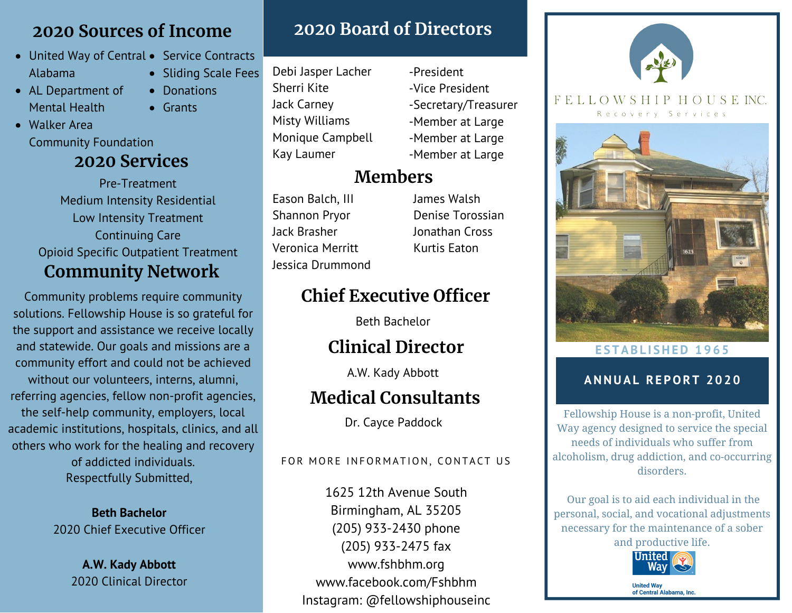## **2020 Sources of Income**

• Donations

Grants

- United Way of Central Service Contracts Alabama • Sliding Scale Fees
- AL Department of Mental Health
- Walker Area Community Foundation

# **2020 Services**

**Community Network** Pre-Treatment Medium Intensity Residential Low Intensity Treatment Continuing Care Opioid Specific Outpatient Treatment

Community problems require community solutions. Fellowship House is so grateful for the support and assistance we receive locally and statewide. Our goals and missions are a community effort and could not be achieved without our volunteers, interns, alumni, referring agencies, fellow non-profit agencies, the self-help community, employers, local academic institutions, hospitals, clinics, and all others who work for the healing and recovery of addicted individuals. Respectfully Submitted,

> **Beth Bachelor** 2020 Chief Executive Officer

> > **A.W. Kady Abbott** 2020 Clinical Director

# **2020 Board of Directors**

- Debi Jasper Lacher Sherri Kite Jack Carney Misty Williams Monique Campbell Kay Laumer
- -Vice President -Secretary/Treasurer -Member at Large -Member at Large -Member at Large

-President

# **Members**

Eason Balch, III Shannon Pryor Jack Brasher Veronica Merritt Jessica Drummond James Walsh Denise Torossian Jonathan Cross Kurtis Eaton

# **Chief Executive Officer**

Beth Bachelor

# **Clinical Director**

A.W. Kady Abbott

# **Medical Consultants**

Dr. Cayce Paddock

## FOR MORE INFORMATION, CONTACT US

1625 12th Avenue South Birmingham, AL 35205 (205) 933-2430 phone (205) 933-2475 fax www.fshbhm.org www.facebook.com/Fshbhm Instagram: @fellowshiphouseinc



### FELLOWSHIP HOUSEINC Recovery Services



## **E S TAB L I SHED 1 9 6 5**

## **ANNUAL RE PORT 2 0 2 0**

Fellowship House is a non-profit, United Way agency designed to service the special needs of individuals who suffer from alcoholism, drug addiction, and co-occurring disorders.

Our goal is to aid each individual in the personal, social, and vocational adjustments necessary for the maintenance of a sober and productive life.



**United Way** of Central Alabama, Inc.